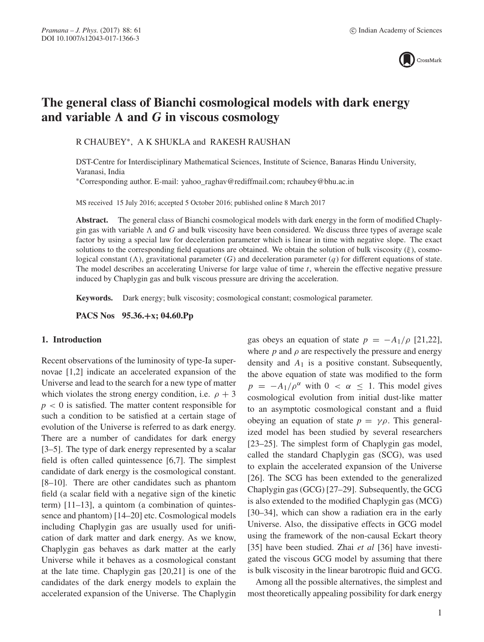

# **The general class of Bianchi cosmological models with dark energy** and variable  $\Lambda$  and  $G$  in viscous cosmology

R CHAUBEY∗, A K SHUKLA and RAKESH RAUSHAN

DST-Centre for Interdisciplinary Mathematical Sciences, Institute of Science, Banaras Hindu University, Varanasi, India

∗Corresponding author. E-mail: yahoo\_raghav@rediffmail.com; rchaubey@bhu.ac.in

MS received 15 July 2016; accepted 5 October 2016; published online 8 March 2017

**Abstract.** The general class of Bianchi cosmological models with dark energy in the form of modified Chaplygin gas with variable  $\Lambda$  and  $G$  and bulk viscosity have been considered. We discuss three types of average scale<br>factor by using a special law for deceleration parameter which is linear in time with negative slope. The factor by using a special law for deceleration parameter which is linear in time with negative slope. The exact solutions to the corresponding field equations are obtained. We obtain the solution of bulk viscosity ( $\xi$ ), cosmological constant  $(\Lambda)$ , gravitational parameter  $(G)$  and deceleration parameter  $(q)$  for different equations of state.<br>The model describes an accelerating Universe for large value of time t, wherein the effective negative The model describes an accelerating Universe for large value of time  $t$ , wherein the effective negative pressure induced by Chaplygin gas and bulk viscous pressure are driving the acceleration.

**Keywords.** Dark energy; bulk viscosity; cosmological constant; cosmological parameter.

**PACS Nos 95.36.+x; 04.60.Pp**

# **1. Introduction**

Recent observations of the luminosity of type-Ia supernovae [1,2] indicate an accelerated expansion of the Universe and lead to the search for a new type of matter which violates the strong energy condition, i.e.  $\rho + 3$  $p < 0$  is satisfied. The matter content responsible for such a condition to be satisfied at a certain stage of evolution of the Universe is referred to as dark energy. There are a number of candidates for dark energy [3–5]. The type of dark energy represented by a scalar field is often called quintessence [6,7]. The simplest candidate of dark energy is the cosmological constant. [8–10]. There are other candidates such as phantom field (a scalar field with a negative sign of the kinetic term) [11–13], a quintom (a combination of quintessence and phantom) [14–20] etc. Cosmological models including Chaplygin gas are usually used for unification of dark matter and dark energy. As we know, Chaplygin gas behaves as dark matter at the early Universe while it behaves as a cosmological constant at the late time. Chaplygin gas [20,21] is one of the candidates of the dark energy models to explain the accelerated expansion of the Universe. The Chaplygin gas obeys an equation of state  $p = -A_1/\rho$  [21,22], where  $p$  and  $\rho$  are respectively the pressure and energy density and  $A_1$  is a positive constant. Subsequently, the above equation of state was modified to the form  $p = -A_1/\rho^{\alpha}$  with  $0 < \alpha \leq 1$ . This model gives cosmological evolution from initial dust-like matter to an asymptotic cosmological constant and a fluid obeying an equation of state  $p = \gamma \rho$ . This generalized model has been studied by several researchers [23–25]. The simplest form of Chaplygin gas model, called the standard Chaplygin gas (SCG), was used to explain the accelerated expansion of the Universe [26]. The SCG has been extended to the generalized Chaplygin gas (GCG) [27–29]. Subsequently, the GCG is also extended to the modified Chaplygin gas (MCG) [30–34], which can show a radiation era in the early Universe. Also, the dissipative effects in GCG model using the framework of the non-causal Eckart theory [35] have been studied. Zhai *et al* [36] have investigated the viscous GCG model by assuming that there is bulk viscosity in the linear barotropic fluid and GCG.

Among all the possible alternatives, the simplest and most theoretically appealing possibility for dark energy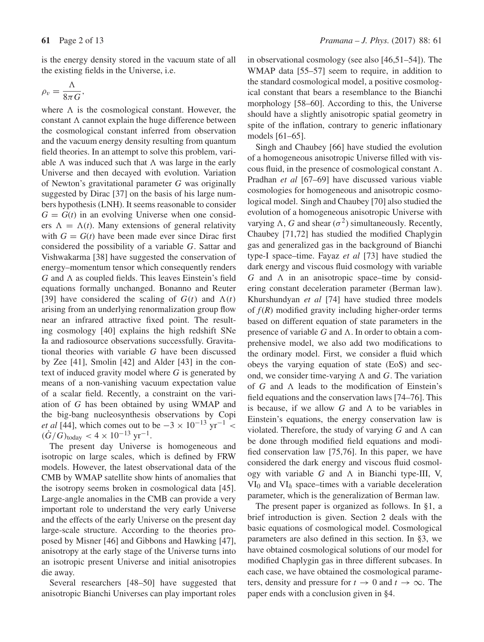is the energy density stored in the vacuum state of all the existing fields in the Universe, i.e.

$$
\rho_v = \frac{\Lambda}{8\pi G},
$$

where  $\Lambda$  is the cosmological constant. However, the constant  $\Lambda$  cannot explain the buge difference between constant  $\Lambda$  cannot explain the huge difference between<br>the cosmological constant inferred from observation the cosmological constant inferred from observation and the vacuum energy density resulting from quantum field theories. In an attempt to solve this problem, variable  $\Lambda$  was induced such that  $\Lambda$  was large in the early Universe and then decayed with evolution. Variation Universe and then decayed with evolution. Variation of Newton's gravitational parameter G was originally suggested by Dirac [37] on the basis of his large numbers hypothesis (LNH). It seems reasonable to consider  $G = G(t)$  in an evolving Universe when one considers  $\Lambda = \Lambda(t)$ . Many extensions of general relativity<br>with  $G - G(t)$  have been made ever since Dirac first ers  $\Lambda = \Lambda(t)$ . Many extensions of general relativity<br>with  $G = G(t)$  have been made ever since Dirac first considered the possibility of a variable G. Sattar and Vishwakarma [38] have suggested the conservation of energy–momentum tensor which consequently renders  $G$  and  $\Lambda$  as coupled fields. This leaves Einstein's field<br>equations formally unchanged. Bonanno and Reuter equations formally unchanged. Bonanno and Reuter [39] have considered the scaling of  $G(t)$  and  $\Lambda(t)$  $\frac{1}{\sqrt{t}}$  and  $\frac{1}{\sqrt{t}}$  arising from an underlying renormalization group flow near an infrared attractive fixed point. The resulting cosmology [40] explains the high redshift SNe Ia and radiosource observations successfully. Gravitational theories with variable G have been discussed by Zee [41], Smolin [42] and Alder [43] in the context of induced gravity model where G is generated by means of a non-vanishing vacuum expectation value of a scalar field. Recently, a constraint on the variation of G has been obtained by using WMAP and the big-bang nucleosynthesis observations by Copi *et al* [44], which comes out to be  $-3 \times 10^{-13}$  yr<sup>-1</sup> <  $(\dot{G}/G)_{\text{today}} < 4 \times 10^{-13} \text{ yr}^{-1}$ .

The present day Universe is homogeneous and isotropic on large scales, which is defined by FRW models. However, the latest observational data of the CMB by WMAP satellite show hints of anomalies that the isotropy seems broken in cosmological data [45]. Large-angle anomalies in the CMB can provide a very important role to understand the very early Universe and the effects of the early Universe on the present day large-scale structure. According to the theories proposed by Misner [46] and Gibbons and Hawking [47], anisotropy at the early stage of the Universe turns into an isotropic present Universe and initial anisotropies die away.

Several researchers [48–50] have suggested that anisotropic Bianchi Universes can play important roles in observational cosmology (see also [46,51–54]). The WMAP data [55–57] seem to require, in addition to the standard cosmological model, a positive cosmological constant that bears a resemblance to the Bianchi morphology [58–60]. According to this, the Universe should have a slightly anisotropic spatial geometry in spite of the inflation, contrary to generic inflationary models [61–65].

Singh and Chaubey [66] have studied the evolution of a homogeneous anisotropic Universe filled with viscous fluid, in the presence of cosmological constant  $\Lambda$ .<br>Pradhan *et al.* [67–69] have discussed various viable Pradhan *et al* [67–69] have discussed various viable cosmologies for homogeneous and anisotropic cosmological model. Singh and Chaubey [70] also studied the evolution of a homogeneous anisotropic Universe with varying  $\Lambda$ , G and shear ( $\sigma^2$ ) simultaneously. Recently,<br>Chaubey [71.72] has studied the modified Chanlygin Chaubey [71,72] has studied the modified Chaplygin gas and generalized gas in the background of Bianchi type-I space–time. Fayaz *et al* [73] have studied the dark energy and viscous fluid cosmology with variable G and  $\Lambda$  in an anisotropic space–time by considering constant deceleration parameter (Berman law) ering constant deceleration parameter (Berman law). Khurshundyan *et al* [74] have studied three models of  $f(R)$  modified gravity including higher-order terms based on different equation of state parameters in the presence of variable  $G$  and  $\Lambda$ . In order to obtain a com-<br>prehensive model, we also add two modifications to prehensive model, we also add two modifications to the ordinary model. First, we consider a fluid which obeys the varying equation of state (EoS) and second, we consider time-varying  $\Lambda$  and  $G$ . The variation<br>of  $G$  and  $\Lambda$  leads to the modification of Finstein's of G and  $\Lambda$  leads to the modification of Einstein's<br>field equations and the conservation laws [74–76]. This field equations and the conservation laws [74–76]. This is because, if we allow G and  $\Lambda$  to be variables in<br>Finstein's equations the energy conservation law is Einstein's equations, the energy conservation law is violated. Therefore, the study of varying  $G$  and  $\Lambda$  can<br>be done through modified field equations and modibe done through modified field equations and modified conservation law [75,76]. In this paper, we have considered the dark energy and viscous fluid cosmology with variable G and  $\Lambda$  in Bianchi type-III, V, VI<sub>2</sub> and VI<sub>1</sub> space-times with a variable deceleration  $VI_0$  and  $VI_h$  space–times with a variable deceleration parameter, which is the generalization of Berman law.

The present paper is organized as follows. In §1, a brief introduction is given. Section 2 deals with the basic equations of cosmological model. Cosmological parameters are also defined in this section. In §3, we have obtained cosmological solutions of our model for modified Chaplygin gas in three different subcases. In each case, we have obtained the cosmological parameters, density and pressure for  $t \to 0$  and  $t \to \infty$ . The paper ends with a conclusion given in §4.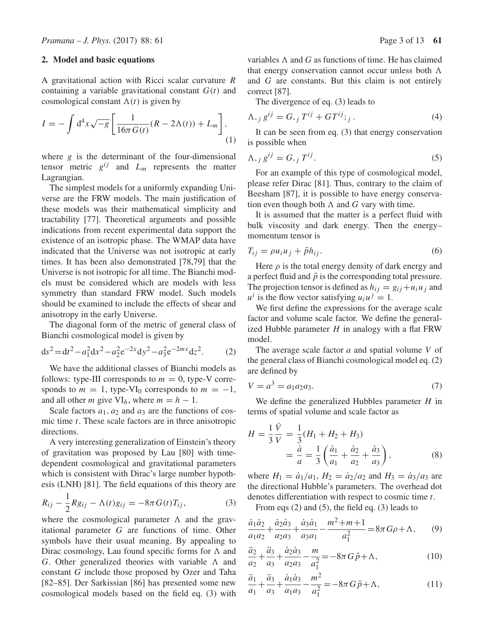### **2. Model and basic equations**

A gravitational action with Ricci scalar curvature R containing a variable gravitational constant  $G(t)$  and cosmological constant  $\Lambda(t)$  is given by

$$
I = -\int d^4x \sqrt{-g} \left[ \frac{1}{16\pi G(t)} (R - 2\Lambda(t)) + L_m \right],
$$
\n(1)

where  $g$  is the determinant of the four-dimensional tensor metric  $g^{ij}$  and  $L_m$  represents the matter Lagrangian.

The simplest models for a uniformly expanding Universe are the FRW models. The main justification of these models was their mathematical simplicity and tractability [77]. Theoretical arguments and possible indications from recent experimental data support the existence of an isotropic phase. The WMAP data have indicated that the Universe was not isotropic at early times. It has been also demonstrated [78,79] that the Universe is not isotropic for all time. The Bianchi models must be considered which are models with less symmetry than standard FRW model. Such models should be examined to include the effects of shear and anisotropy in the early Universe.

The diagonal form of the metric of general class of Bianchi cosmological model is given by

$$
ds^{2} = dt^{2} - a_{1}^{2} dx^{2} - a_{2}^{2} e^{-2x} dy^{2} - a_{3}^{2} e^{-2mx} dz^{2}. \qquad (2)
$$

We have the additional classes of Bianchi models as follows: type-III corresponds to  $m = 0$ , type-V corresponds to  $m = 1$ , type-VI<sub>0</sub> corresponds to  $m = -1$ , and all other *m* give  $VI_h$ , where  $m = h - 1$ .

Scale factors  $a_1$ ,  $a_2$  and  $a_3$  are the functions of cosmic time  $t$ . These scale factors are in three anisotropic directions.

A very interesting generalization of Einstein's theory of gravitation was proposed by Lau [80] with timedependent cosmological and gravitational parameters which is consistent with Dirac's large number hypothesis (LNH) [81]. The field equations of this theory are

$$
R_{ij} - \frac{1}{2} R g_{ij} - \Lambda(t) g_{ij} = -8\pi G(t) T_{ij},
$$
 (3)

where the cosmological parameter  $\Lambda$  and the grav-<br>itational parameter  $G$  are functions of time. Other itational parameter  $G$  are functions of time. Other symbols have their usual meaning. By appealing to Dirac cosmology, Lau found specific forms for  $\Lambda$  and  $G$ . Other generalized theories with variable  $\Lambda$  and G. Other generalized theories with variable  $\Lambda$  and constant G include those proposed by Ozer and Taba constant G include those proposed by Ozer and Taha [82–85]. Der Sarkissian [86] has presented some new cosmological models based on the field eq. (3) with

variables  $\Lambda$  and  $G$  as functions of time. He has claimed<br>that energy conservation cannot occur unless both  $\Lambda$ that energy conservation cannot occur unless both  $\Lambda$ <br>and  $G$  are constants. But this claim is not entirely and G are constants. But this claim is not entirely correct [87].

The divergence of eq. (3) leads to

$$
\Lambda_{,j} g^{ij} = G_{,j} T^{ij} + GT^{ij}; j. \tag{4}
$$

It can be seen from eq. (3) that energy conservation is possible when

$$
\Lambda_{,j} g^{ij} = G_{,j} T^{ij}.
$$
\n<sup>(5)</sup>

For an example of this type of cosmological model, please refer Dirac [81]. Thus, contrary to the claim of Beesham [87], it is possible to have energy conservation even though both  $\Lambda$  and  $G$  vary with time.<br>It is assumed that the matter is a perfect flu

It is assumed that the matter is a perfect fluid with bulk viscosity and dark energy. Then the energy– momentum tensor is

$$
T_{ij} = \rho u_i u_j + \tilde{p} h_{ij}.
$$
\n<sup>(6)</sup>

Here  $\rho$  is the total energy density of dark energy and a perfect fluid and  $\tilde{p}$  is the corresponding total pressure. The projection tensor is defined as  $h_{ij} = g_{ij} + u_i u_j$  and  $u^{i}$  is the flow vector satisfying  $u_{i}u^{j} = 1$ .

We first define the expressions for the average scale factor and volume scale factor. We define the generalized Hubble parameter  $H$  in analogy with a flat FRW model.

The average scale factor  $a$  and spatial volume  $V$  of the general class of Bianchi cosmological model eq. (2) are defined by

$$
V = a^3 = a_1 a_2 a_3. \tag{7}
$$

We define the generalized Hubbles parameter  $H$  in terms of spatial volume and scale factor as

$$
H = \frac{1}{3} \frac{\dot{V}}{V} = \frac{1}{3} (H_1 + H_2 + H_3)
$$
  
=  $\frac{\dot{a}}{a} = \frac{1}{3} \left( \frac{\dot{a}_1}{a_1} + \frac{\dot{a}_2}{a_2} + \frac{\dot{a}_3}{a_3} \right),$  (8)

where  $H_1 = \dot{a}_1/a_1$ ,  $H_2 = \dot{a}_2/a_2$  and  $H_3 = \dot{a}_3/a_3$  are the directional Hubble's parameters. The overhead dot denotes differentiation with respect to cosmic time t.

From eqs (2) and (5), the field eq. (3) leads to

$$
\frac{\dot{a}_1 \dot{a}_2}{a_1 a_2} + \frac{\dot{a}_2 \dot{a}_3}{a_2 a_3} + \frac{\dot{a}_3 \dot{a}_1}{a_3 a_1} - \frac{m^2 + m + 1}{a_1^2} = 8\pi G \rho + \Lambda,
$$
 (9)

$$
\frac{\ddot{a}_2}{a_2} + \frac{\ddot{a}_3}{a_3} + \frac{\dot{a}_2 \dot{a}_3}{a_2 a_3} - \frac{m}{a_1^2} = -8\pi G \tilde{p} + \Lambda,
$$
\n(10)

$$
\frac{\ddot{a}_1}{a_1} + \frac{\ddot{a}_3}{a_3} + \frac{\dot{a}_1 \dot{a}_3}{a_1 a_3} - \frac{m^2}{a_1^2} = -8\pi G \tilde{p} + \Lambda,\tag{11}
$$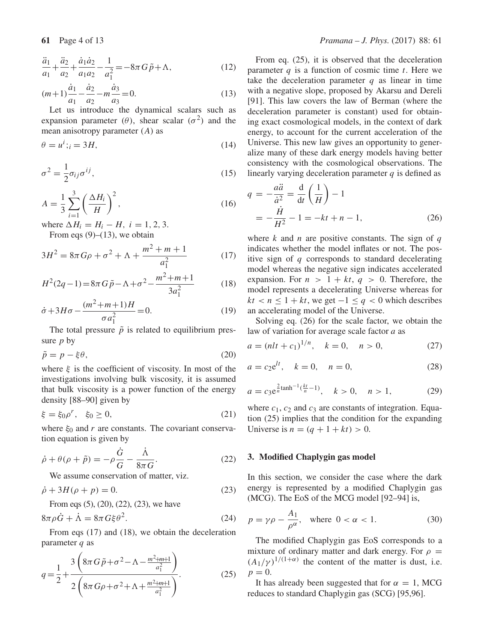$$
\frac{\ddot{a}_1}{a_1} + \frac{\ddot{a}_2}{a_2} + \frac{\dot{a}_1 \dot{a}_2}{a_1 a_2} - \frac{1}{a_1^2} = -8\pi G \tilde{p} + \Lambda,
$$
\n(12)

$$
(m+1)\frac{\dot{a}_1}{a_1} - \frac{\dot{a}_2}{a_2} - m\frac{\dot{a}_3}{a_3} = 0.
$$
 (13)

 $a_1$   $a_2$   $a_3$ <br>Let us introduce the dynamical scalars such as expansion parameter ( $\theta$ ), shear scalar ( $\sigma^2$ ) and the mean anisotropy parameter (A) as

$$
\theta = u^i;_i = 3H,\tag{14}
$$

$$
\sigma^2 = \frac{1}{2}\sigma_{ij}\sigma^{ij},\tag{15}
$$

$$
A = \frac{1}{3} \sum_{i=1}^{3} \left(\frac{\Delta H_i}{H}\right)^2,
$$
\nwhere  $\Delta H_i$ ,  $H_i$ ,  $H_j$ ,  $i = 1, 2, 3$ .

\n(16)

where  $\Delta H_i = H_i - H$ ,  $i = 1, 2, 3$ .<br>From eqs (9)–(13) we obtain

From eqs  $(9)$ – $(13)$ , we obtain

$$
3H^{2} = 8\pi G\rho + \sigma^{2} + \Lambda + \frac{m^{2} + m + 1}{a_{1}^{2}}
$$
 (17)

$$
H^{2}(2q-1) = 8\pi G\tilde{p} - \Lambda + \sigma^{2} - \frac{m^{2} + m + 1}{3a_{1}^{2}}
$$
 (18)

$$
\dot{\sigma} + 3H\sigma - \frac{(m^2 + m + 1)H}{\sigma a_1^2} = 0.
$$
 (19)

The total pressure  $\tilde{p}$  is related to equilibrium pres-<br>re n by sure  $p$  by

$$
\tilde{p} = p - \xi \theta,\tag{20}
$$

where  $\xi$  is the coefficient of viscosity. In most of the<br>investigations involving bulk viscosity, it is assumed investigations involving bulk viscosity, it is assumed that bulk viscosity is a power function of the energy density [88–90] given by

$$
\xi = \xi_0 \rho^r, \quad \xi_0 \ge 0,
$$
\n(21)

where  $\xi_0$  and r are constants. The covariant conserva-<br>tion equation is given by tion equation is given by

$$
\dot{\rho} + \theta(\rho + \tilde{p}) = -\rho \frac{\dot{G}}{G} - \frac{\dot{\Lambda}}{8\pi G}.
$$
\nWe assume conservation of matter, viz.

$$
\dot{\rho} + 3H(\rho + p) = 0.
$$
 (23)

From eqs (5), (20), (22), (23), we have

$$
8\pi\rho\dot{G} + \dot{\Lambda} = 8\pi G\xi\theta^2.
$$
 (24)

From eqs (17) and (18), we obtain the deceleration parameter  $q$  as

$$
q = \frac{1}{2} + \frac{3\left(8\pi G\tilde{p} + \sigma^2 - \Lambda - \frac{m^2 + m + 1}{a_1^2}\right)}{2\left(8\pi G\rho + \sigma^2 + \Lambda + \frac{m^2 + m + 1}{a_1^2}\right)}.
$$
(25)

From eq. (25), it is observed that the deceleration parameter  $q$  is a function of cosmic time  $t$ . Here we take the deceleration parameter  $q$  as linear in time with a negative slope, proposed by Akarsu and Dereli [91]. This law covers the law of Berman (where the deceleration parameter is constant) used for obtaining exact cosmological models, in the context of dark energy, to account for the current acceleration of the Universe. This new law gives an opportunity to generalize many of these dark energy models having better consistency with the cosmological observations. The linearly varying deceleration parameter  $q$  is defined as

$$
q = -\frac{a\ddot{a}}{\dot{a}^2} = \frac{d}{dt}\left(\frac{1}{H}\right) - 1
$$

$$
= -\frac{\dot{H}}{H^2} - 1 = -kt + n - 1,
$$
(26)

where k and n are positive constants. The sign of q<br>indicates whether the model inflates or not. The posindicates whether the model inflates or not. The positive sign of  $q$  corresponds to standard decelerating model whereas the negative sign indicates accelerated expansion. For  $n > 1 + kt$ ,  $q > 0$ . Therefore, the model represents a decelerating Universe whereas for  $kt < n \leq 1 + kt$ , we get  $-1 \leq q < 0$  which describes an accelerating model of the Universe.

Solving eq. (26) for the scale factor, we obtain the law of variation for average scale factor a as

$$
a = (nlt + c_1)^{1/n}, \quad k = 0, \quad n > 0,
$$
 (27)

$$
a = c_2 e^{lt}, \quad k = 0, \quad n = 0,
$$
 (28)

$$
a = c_3 e^{\frac{2}{n} \tanh^{-1}(\frac{kt}{n} - 1)}, \quad k > 0, \quad n > 1,
$$
 (29)

where  $c_1$ ,  $c_2$  and  $c_3$  are constants of integration. Equation (25) implies that the condition for the expanding Universe is  $n = (q + 1 + kt) > 0$ .

### **3. Modified Chaplygin gas model**

In this section, we consider the case where the dark energy is represented by a modified Chaplygin gas (MCG). The EoS of the MCG model [92–94] is,

$$
p = \gamma \rho - \frac{A_1}{\rho^{\alpha}}, \quad \text{where } 0 < \alpha < 1. \tag{30}
$$

The modified Chaplygin gas EoS corresponds to a mixture of ordinary matter and dark energy. For  $\rho = (A_1/\nu)^{1/(1+\alpha)}$  the content of the matter is dust i.e.  $(A_1/\gamma)^{1/(1+\alpha)}$  the content of the matter is dust, i.e.  $p=0.$ 

It has already been suggested that for  $\alpha = 1$ , MCG reduces to standard Chaplygin gas (SCG) [95,96].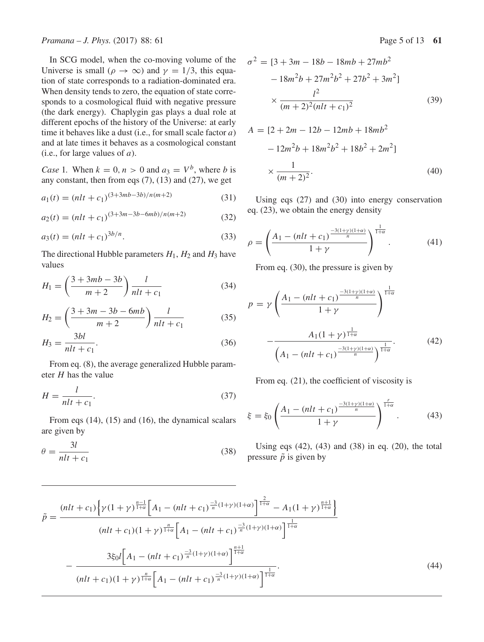*Pramana – J. Phys.* (2017) 88: 61 **Page 5 of 13 61** Page 5 of 13 61

In SCG model, when the co-moving volume of the Universe is small ( $\rho \to \infty$ ) and  $\gamma = 1/3$ , this equation of state corresponds to a radiation-dominated era. When density tends to zero, the equation of state corresponds to a cosmological fluid with negative pressure (the dark energy). Chaplygin gas plays a dual role at different epochs of the history of the Universe: at early time it behaves like a dust (i.e., for small scale factor  $a$ ) and at late times it behaves as a cosmological constant (i.e., for large values of  $a$ ).

*Case* 1. When  $k = 0, n > 0$  and  $a_3 = V^b$ , where *b* is any constant, then from eqs  $(7)$ ,  $(13)$  and  $(27)$ , we get

$$
a_1(t) = (nlt + c_1)^{(3+3mb-3b)/n(m+2)}
$$
\n(31)

$$
a_2(t) = (nlt + c_1)^{(3+3m-3b-6mb)/n(m+2)}
$$
(32)

$$
a_3(t) = (nlt + c_1)^{3b/n}.
$$
\n(33)

The directional Hubble parameters  $H_1$ ,  $H_2$  and  $H_3$  have values

$$
H_1 = \left(\frac{3+3mb - 3b}{m+2}\right) \frac{l}{nlt + c_1}
$$
 (34)

$$
H_2 = \left(\frac{3+3m-3b-6mb}{m+2}\right) \frac{l}{nlt+c_1}
$$
 (35)

$$
H_3 = \frac{3bl}{nlt + c_1}.\tag{36}
$$

From eq. (8), the average generalized Hubble parameter  $H$  has the value

$$
H = \frac{l}{nlt + c_1}.\tag{37}
$$

From eqs (14), (15) and (16), the dynamical scalars are given by

$$
\theta = \frac{3l}{nlt + c_1} \tag{38}
$$

$$
\sigma^2 = [3 + 3m - 18b - 18mb + 27mb^2
$$
  
- 18m<sup>2</sup>b + 27m<sup>2</sup>b<sup>2</sup> + 27b<sup>2</sup> + 3m<sup>2</sup>]  

$$
\times \frac{l^2}{(m+2)^2(nlt + c_1)^2}
$$
(39)

$$
A = [2 + 2m - 12b - 12mb + 18mb2
$$
  

$$
- 12m2b + 18m2b2 + 18b2 + 2m2]
$$
  

$$
\times \frac{1}{(m+2)2}.
$$
 (40)

Using eqs (27) and (30) into energy conservation eq. (23), we obtain the energy density

$$
\rho = \left(\frac{A_1 - (nlt + c_1)^{\frac{-3(1+\gamma)(1+\alpha)}{n}}}{1+\gamma}\right)^{\frac{1}{1+\alpha}}.\tag{41}
$$

From eq. (30), the pressure is given by

$$
p = \gamma \left( \frac{A_1 - (nlt + c_1)^{\frac{-3(1+\gamma)(1+\alpha)}{n}}}{1+\gamma} \right)^{\frac{1}{1+\alpha}}
$$

$$
- \frac{A_1(1+\gamma)^{\frac{1}{1+\alpha}}}{\left(A_1 - (nlt + c_1)^{\frac{-3(1+\gamma)(1+\alpha)}{n}}\right)^{\frac{1}{1+\alpha}}}.
$$
(42)

From eq. (21), the coefficient of viscosity is

$$
\xi = \xi_0 \left( \frac{A_1 - (nlt + c_1)^{\frac{-3(1+\gamma)(1+\alpha)}{n}}}{1+\gamma} \right)^{\frac{r}{1+\alpha}}.
$$
 (43)

Using eqs  $(42)$ ,  $(43)$  and  $(38)$  in eq.  $(20)$ , the total pressure  $\tilde{p}$  is given by

$$
\tilde{p} = \frac{(nlt + c_1) \left\{ \gamma (1 + \gamma)^{\frac{n-1}{1+\alpha}} \left[ A_1 - (nlt + c_1)^{\frac{-3}{n}(1+\gamma)(1+\alpha)} \right]^{\frac{2}{1+\alpha}} - A_1 (1 + \gamma)^{\frac{n+1}{1+\alpha}} \right\}}{(nlt + c_1)(1 + \gamma)^{\frac{n}{1+\alpha}} \left[ A_1 - (nlt + c_1)^{\frac{-3}{n}(1+\gamma)(1+\alpha)} \right]^{\frac{1}{1+\alpha}}}
$$
\n
$$
- \frac{3\xi_0 l \left[ A_1 - (nlt + c_1)^{\frac{-3}{n}(1+\gamma)(1+\alpha)} \right]^{\frac{n+1}{1+\alpha}}}{(nlt + c_1)(1 + \gamma)^{\frac{n}{1+\alpha}} \left[ A_1 - (nlt + c_1)^{\frac{-3}{n}(1+\gamma)(1+\alpha)} \right]^{\frac{1}{1+\alpha}}}.
$$
\n(44)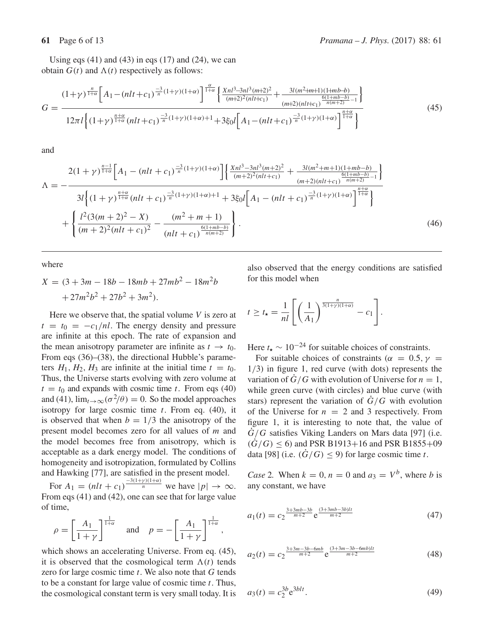Using eqs  $(41)$  and  $(43)$  in eqs  $(17)$  and  $(24)$ , we can obtain  $G(t)$  and  $\Lambda(t)$  respectively as follows:

$$
G = \frac{(1+\gamma)^{\frac{n}{1+\alpha}} \left[A_1 - (nlt+c_1)^{\frac{-3}{n}(1+\gamma)(1+\alpha)}\right]^{\frac{\alpha}{1+\alpha}} \left\{\frac{\chi_{nl}^3 - 3nl^3(m+2)^2}{(m+2)^2(nlt+c_1)} + \frac{3l(m^2+m+1)(1+mb-b)}{(m+2)(nlt+c_1)^{\frac{6(1+mb-b)}{n(m+2)}-1}}\right\}}{(m+2)(nlt+c_1)^{\frac{6(1+mb-b)}{n(m+2)}-1}}
$$
(45)

and

$$
\Lambda = -\frac{2(1+\gamma)^{\frac{n-1}{1+\alpha}} \Big[ A_1 - (nlt + c_1)^{\frac{-3}{n}(1+\gamma)(1+\alpha)} \Big] \Big\{ \frac{\chi n l^3 - 3nl^3(m+2)^2}{(m+2)^2(nlt + c_1)} + \frac{3l(m^2+m+1)(1+mb-b)}{6(1+mb-b)} \Big\}}{(m+2)(nlt + c_1)^{\frac{n+\alpha}{n(m+2)}} - 1} \Big\}} \\ + \begin{cases} \frac{l^2 (3(m+2)^2 - X)}{(m+2)^2(nlt + c_1)^2} - \frac{(m^2+m+1)}{(nlt + c_1)^{\frac{n+\alpha}{n}(1+\gamma)(1+\alpha)}} \Big\} \\ \frac{l^2 (3(m+2)^2 - X)}{(m+2)^2(nlt + c_1)^2} - \frac{(m^2+m+1)}{(nlt + c_1)^{\frac{n(n+b-b)}{n(m+2)}}} \Big\} \end{cases} . \tag{46}
$$

where

$$
X = (3 + 3m - 18b - 18mb + 27mb2 - 18m2b + 27m2b2 + 27b2 + 3m2).
$$

Here we observe that, the spatial volume  $V$  is zero at  $t = t_0 = -c_1/nl$ . The energy density and pressure are infinite at this epoch. The rate of expansion and the mean anisotropy parameter are infinite as  $t \to t_0$ . From eqs (36)–(38), the directional Hubble's parameters  $H_1$ ,  $H_2$ ,  $H_3$  are infinite at the initial time  $t = t_0$ . Thus, the Universe starts evolving with zero volume at  $t = t_0$  and expands with cosmic time t. From eqs (40) and (41),  $\lim_{t\to\infty} (\sigma^2/\theta) = 0$ . So the model approaches<br>isotropy for large cosmic time t. From eq. (40) it isotropy for large cosmic time  $t$ . From eq. (40), it is observed that when  $b = 1/3$  the anisotropy of the present model becomes zero for all values of m and the model becomes free from anisotropy, which is acceptable as a dark energy model. The conditions of homogeneity and isotropization, formulated by Collins and Hawking [77], are satisfied in the present model.

For  $A_1 = (nlt + c_1)^{\frac{-3(1+\gamma)(1+\alpha)}{n}}$  we have  $|p| \to \infty$ .<br>om eqs (41) and (42), one can see that for large value From eqs (41) and (42), one can see that for large value of time,

$$
\rho = \left[\frac{A_1}{1+\gamma}\right]^{\frac{1}{1+\alpha}} \quad \text{and} \quad p = -\left[\frac{A_1}{1+\gamma}\right]^{\frac{1}{1+\alpha}},
$$

which shows an accelerating Universe. From eq. (45), it is observed that the cosmological term  $\Lambda(t)$  tends<br>zero for large cosmic time t. We also note that G tends zero for large cosmic time  $t$ . We also note that  $G$  tends to be a constant for large value of cosmic time  $t$ . Thus, the cosmological constant term is very small today. It is also observed that the energy conditions are satisfied for this model when

$$
t \geq t_{\star} = \frac{1}{nl} \left[ \left( \frac{1}{A_1} \right)^{\frac{n}{3(1+\gamma)(1+\alpha)}} - c_1 \right].
$$

Here  $t_{\star} \sim 10^{-24}$  for suitable choices of constraints.

For suitable choices of constraints ( $\alpha = 0.5$ ,  $\gamma =$ <sup>1</sup>/3) in figure 1, red curve (with dots) represents the variation of  $G/G$  with evolution of Universe for  $n = 1$ , while green curve (with circles) and blue curve (with stars) represent the variation of  $\dot{G}/G$  with evolution of the Universe for  $n = 2$  and 3 respectively. From figure 1, it is interesting to note that, the value of  $\dot{G}/G$  satisfies Viking Landers on Mars data [97] (i.e.  $(\dot{G}/G) \leq 6$ ) and PSR B1913+16 and PSR B1855+09 data [98] (i.e.  $(G/G) \le 9$ ) for large cosmic time t.

*Case* 2. When  $k = 0$ ,  $n = 0$  and  $a_3 = V^b$ , where *b* is any constant, we have

$$
a_1(t) = c_2^{\frac{3+3mb-3b}{m+2}} e^{\frac{(3+3mb-3b)t}{m+2}}
$$
 (47)

$$
a_2(t) = c_2^{\frac{3+3m-3b-6mb}{m+2}} e^{\frac{(3+3m-3b-6mb)lt}{m+2}}
$$
(48)

$$
a_3(t) = c_2^{3b} e^{3blt}.
$$
\n(49)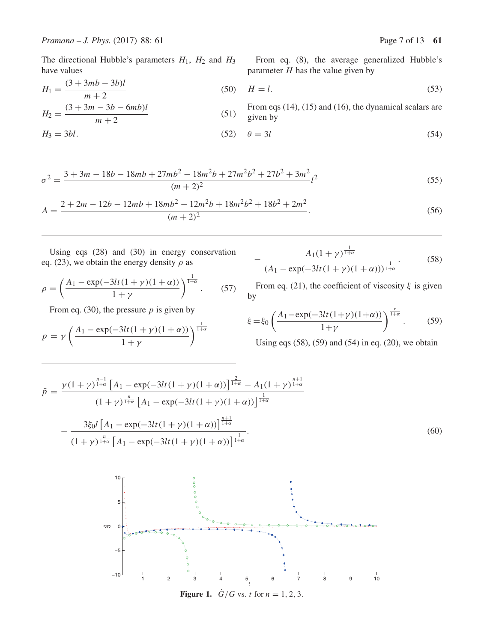$$
H_1 = \frac{(3+3mb-3b)l}{m+2}
$$
 (50)

$$
H_2 = \frac{(3+3m-3b-6mb)l}{m+2}
$$
 (51)

$$
H_3 = 3bl.\t\t(52)
$$

From eq. (8), the average generalized Hubble's parameter  $H$  has the value given by

$$
H = l.\t\t(53)
$$

From eqs (14), (15) and (16), the dynamical scalars are given by

$$
\theta = 3l \tag{54}
$$

$$
\sigma^2 = \frac{3 + 3m - 18b - 18mb + 27mb^2 - 18m^2b + 27m^2b^2 + 27b^2 + 3m^2}{(m+2)^2}l^2
$$
\n(55)

$$
A = \frac{2 + 2m - 12b - 12mb + 18mb^2 - 12m^2b + 18m^2b^2 + 18b^2 + 2m^2}{(m+2)^2}.
$$
\n(56)

Using eqs (28) and (30) in energy conservation eq. (23), we obtain the energy density  $\rho$  as

$$
\rho = \left(\frac{A_1 - \exp(-3lt(1+\gamma)(1+\alpha))}{1+\gamma}\right)^{\frac{1}{1+\alpha}}.\tag{57}
$$

From eq. (30), the pressure  $p$  is given by

$$
p = \gamma \left( \frac{A_1 - \exp(-3lt(1+\gamma)(1+\alpha))}{1+\gamma} \right)^{\frac{1}{1+\alpha}}
$$

$$
-\frac{A_1(1+\gamma)^{\frac{1}{1+\alpha}}}{(A_1-\exp(-3lt(1+\gamma)(1+\alpha)))^{\frac{1}{1+\alpha}}}.
$$
 (58)

From eq. (21), the coefficient of viscosity  $\xi$  is given by

$$
\xi = \xi_0 \left( \frac{A_1 - \exp(-3lt(1+\gamma)(1+\alpha))}{1+\gamma} \right)^{\frac{1}{1+\alpha}}.
$$
 (59)

Using eqs  $(58)$ ,  $(59)$  and  $(54)$  in eq.  $(20)$ , we obtain

$$
\tilde{p} = \frac{\gamma (1+\gamma)^{\frac{n-1}{1+\alpha}} \left[ A_1 - \exp(-3lt(1+\gamma)(1+\alpha)) \right]^{\frac{2}{1+\alpha}} - A_1 (1+\gamma)^{\frac{n+1}{1+\alpha}}}{(1+\gamma)^{\frac{n}{1+\alpha}} \left[ A_1 - \exp(-3lt(1+\gamma)(1+\alpha)) \right]^{\frac{1}{1+\alpha}}}
$$

$$
- \frac{3\xi_0 l \left[ A_1 - \exp(-3lt(1+\gamma)(1+\alpha)) \right]^{\frac{n+1}{1+\alpha}}}{(1+\gamma)^{\frac{n}{1+\alpha}} \left[ A_1 - \exp(-3lt(1+\gamma)(1+\alpha)) \right]^{\frac{1}{1+\alpha}}}. \tag{60}
$$



**Figure 1.**  $\dot{G}/G$  vs. *t* for  $n = 1, 2, 3$ .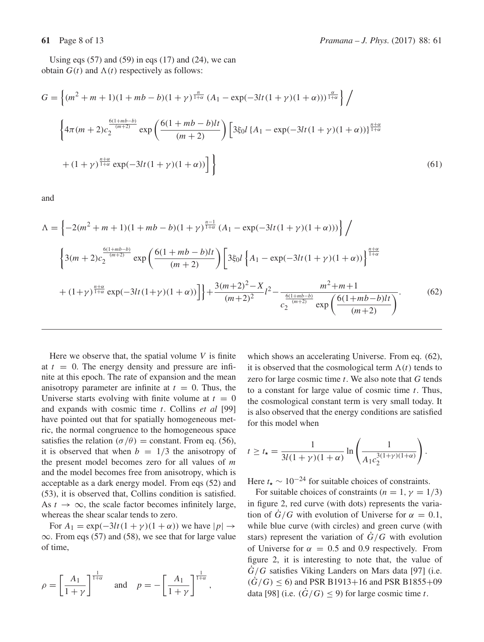Using eqs  $(57)$  and  $(59)$  in eqs  $(17)$  and  $(24)$ , we can obtain  $G(t)$  and  $\Lambda(t)$  respectively as follows:

$$
G = \left\{ (m^2 + m + 1)(1 + mb - b)(1 + \gamma)^{\frac{n}{1 + \alpha}} (A_1 - \exp(-3lt(1 + \gamma)(1 + \alpha)))^{\frac{\alpha}{1 + \alpha}} \right\} / \newline\n\left\{ 4\pi (m + 2)c_2^{\frac{6(1 + mb - b)}{(m + 2)}} \exp\left(\frac{6(1 + mb - b)lt}{(m + 2)}\right) \left[ 3\xi_0 l \left\{ A_1 - \exp(-3lt(1 + \gamma)(1 + \alpha)) \right\}^{\frac{n + \alpha}{1 + \alpha}} \right] \right\}
$$
\n
$$
+ (1 + \gamma)^{\frac{n + \alpha}{1 + \alpha}} \exp(-3lt(1 + \gamma)(1 + \alpha)) \Big] \right\}
$$
\n
$$
(61)
$$

and

$$
\Lambda = \left\{-2(m^2 + m + 1)(1 + mb - b)(1 + \gamma)^{\frac{n-1}{1+\alpha}}(A_1 - \exp(-3lt(1 + \gamma)(1 + \alpha)))\right\} / \left\{3(m + 2)c_2^{\frac{6(1+mb-b)}{(m+2)}}\exp\left(\frac{6(1+mb-b)lt}{(m+2)}\right)\left[3\xi_0l\left\{A_1 - \exp(-3lt(1 + \gamma)(1 + \alpha))\right\}^{\frac{n+\alpha}{1+\alpha}}\right.\right\}
$$

$$
+ (1+\gamma)^{\frac{n+\alpha}{1+\alpha}}\exp(-3lt(1+\gamma)(1+\alpha))\left]\right\} + \frac{3(m+2)^2 - X}{(m+2)^2}l^2 - \frac{m^2 + m + 1}{c_2^{\frac{6(1+mb-b)}{(m+2)}}\exp\left(\frac{6(1+mb-b)lt}{(m+2)}\right)}.
$$
(62)

Here we observe that, the spatial volume  $V$  is finite at  $t = 0$ . The energy density and pressure are infinite at this epoch. The rate of expansion and the mean anisotropy parameter are infinite at  $t = 0$ . Thus, the Universe starts evolving with finite volume at  $t = 0$ and expands with cosmic time t. Collins *et al* [99] have pointed out that for spatially homogeneous metric, the normal congruence to the homogeneous space satisfies the relation ( $\sigma/\theta$ ) = constant. From eq. (56), it is observed that when  $b = 1/3$  the anisotropy of the present model becomes zero for all values of m and the model becomes free from anisotropy, which is acceptable as a dark energy model. From eqs (52) and (53), it is observed that, Collins condition is satisfied. As  $t \to \infty$ , the scale factor becomes infinitely large, whereas the shear scalar tends to zero.

For  $A_1 = \exp(-3lt(1 + \gamma)(1 + \alpha))$  we have  $|p| \rightarrow$  $\infty$ . From eqs (57) and (58), we see that for large value of time,

$$
\rho = \left[\frac{A_1}{1+\gamma}\right]^{\frac{1}{1+\alpha}} \quad \text{and} \quad p = -\left[\frac{A_1}{1+\gamma}\right]^{\frac{1}{1+\alpha}},
$$

which shows an accelerating Universe. From eq. (62), it is observed that the cosmological term  $\Lambda(t)$  tends to zero for large cosmic time t. We also note that G tends zero for large cosmic time  $t$ . We also note that  $G$  tends to a constant for large value of cosmic time  $t$ . Thus, the cosmological constant term is very small today. It is also observed that the energy conditions are satisfied for this model when

$$
t \ge t_{\star} = \frac{1}{3l(1+\gamma)(1+\alpha)} \ln \left( \frac{1}{A_1 c_2^{3(1+\gamma)(1+\alpha)}} \right).
$$

Here  $t_{\star} \sim 10^{-24}$  for suitable choices of constraints.

For suitable choices of constraints ( $n = 1$ ,  $\gamma = 1/3$ ) in figure 2, red curve (with dots) represents the variation of  $G/G$  with evolution of Universe for  $\alpha = 0.1$ , while blue curve (with circles) and green curve (with stars) represent the variation of  $\dot{G}/G$  with evolution of Universe for  $\alpha = 0.5$  and 0.9 respectively. From figure 2, it is interesting to note that, the value of  $\dot{G}/G$  satisfies Viking Landers on Mars data [97] (i.e.  $(\dot{G}/G) \le 6$ ) and PSR B1913+16 and PSR B1855+09 data [98] (i.e.  $(\dot{G}/G) \leq 9$ ) for large cosmic time t.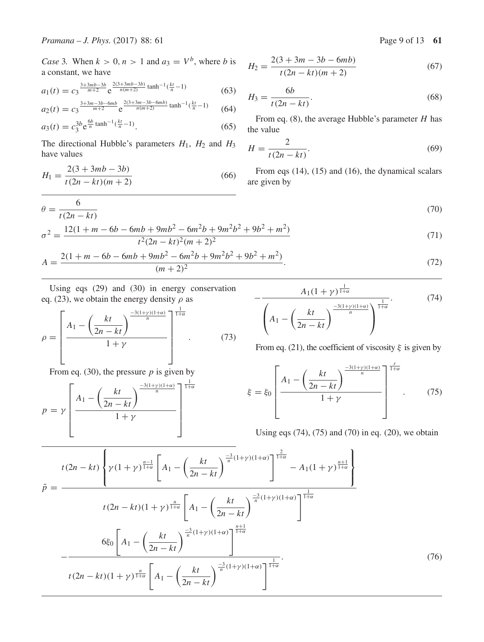$$
a_1(t) = c_3^{\frac{3+3mb-3b}{m+2}} e^{\frac{2(3+3mb-3b)}{n(m+2)} \tanh^{-1}(\frac{kt}{n}-1)}
$$
(63)

$$
a_2(t) = c_3^{\frac{3+3m-3b-6mb}{m+2}} e^{\frac{2(3+3m-3b-6mb)}{n(m+2)} \tanh^{-1}(\frac{kt}{n}-1)}
$$
(64)

$$
a_3(t) = c_3^{3b} e^{\frac{6b}{n} \tanh^{-1}(\frac{kt}{n} - 1)}.
$$
 (65)

The directional Hubble's parameters  $H_1$ ,  $H_2$  and  $H_3$ have values

$$
H_1 = \frac{2(3+3mb-3b)}{t(2n-kt)(m+2)}
$$
(66)

$$
H_2 = \frac{2(3+3m-3b-6mb)}{t(2n-kt)(m+2)}
$$
(67)

$$
H_3 = \frac{6b}{t(2n - kt)}.\tag{68}
$$

From eq. (8), the average Hubble's parameter  $H$  has the value

$$
H = \frac{2}{t(2n - kt)}.\tag{69}
$$

From eqs (14), (15) and (16), the dynamical scalars are given by

$$
\theta = \frac{6}{t(2n - kt)}\tag{70}
$$

$$
\sigma^2 = \frac{12(1+m-6b-6mb+9mb^2-6m^2b+9m^2b^2+9b^2+m^2)}{t^2(2n-kt)^2(m+2)^2}
$$
(71)

$$
A = \frac{2(1+m-6b-6mb+9mb^2-6m^2b+9m^2b^2+9b^2+m^2)}{(m+2)^2}.
$$
 (72)

Using eqs (29) and (30) in energy conservation eq. (23), we obtain the energy density  $\rho$  as

$$
\rho = \left\lceil \frac{A_1 - \left(\frac{kt}{2n - kt}\right)^{\frac{-3(1+\gamma)(1+\alpha)}{n}}}{1+\gamma} \right\rceil^{\frac{1}{1+\alpha}} \tag{73}
$$

From eq. (30), the pressure  $p$  is given by

$$
p = \gamma \left[ \frac{A_1 - \left(\frac{kt}{2n - kt}\right)^{\frac{-3(1+\gamma)(1+\alpha)}{n}}}{1+\gamma} \right]^{\frac{1}{1+\alpha}}
$$

$$
-\frac{A_1(1+\gamma)^{\frac{1}{1+\alpha}}}{\left(A_1-\left(\frac{kt}{2n-kt}\right)^{\frac{-3(1+\gamma)(1+\alpha)}{n}}\right)^{\frac{1}{1+\alpha}}}.
$$
(74)

From eq. (21), the coefficient of viscosity  $\xi$  is given by

$$
\xi = \xi_0 \left[ \frac{A_1 - \left(\frac{kt}{2n - kt}\right)^{\frac{-3(1+\gamma)(1+\alpha)}{n}}}{1+\gamma} \right]^{\frac{r}{1+\alpha}}.
$$
 (75)

Using eqs (74), (75) and (70) in eq. (20), we obtain

$$
\tilde{p} = \frac{t(2n - kt)\left\{\gamma(1 + \gamma)^{\frac{n-1}{1+\alpha}}\left[A_1 - \left(\frac{kt}{2n - kt}\right)^{\frac{-3}{n}(1+\gamma)(1+\alpha)}\right]^{\frac{2}{1+\alpha}} - A_1(1 + \gamma)^{\frac{n+1}{1+\alpha}}\right\}}{t(2n - kt)(1 + \gamma)^{\frac{n}{1+\alpha}}\left[A_1 - \left(\frac{kt}{2n - kt}\right)^{\frac{-3}{n}(1+\gamma)(1+\alpha)}\right]^{\frac{1}{1+\alpha}}}
$$
\n
$$
-\frac{6\xi_0\left[A_1 - \left(\frac{kt}{2n - kt}\right)^{\frac{-3}{n}(1+\gamma)(1+\alpha)}\right]^{\frac{n+1}{1+\alpha}}}{t(2n - kt)(1 + \gamma)^{\frac{n}{1+\alpha}}\left[A_1 - \left(\frac{kt}{2n - kt}\right)^{\frac{-3}{n}(1+\gamma)(1+\alpha)}\right]^{\frac{1}{1+\alpha}}}.
$$
\n(76)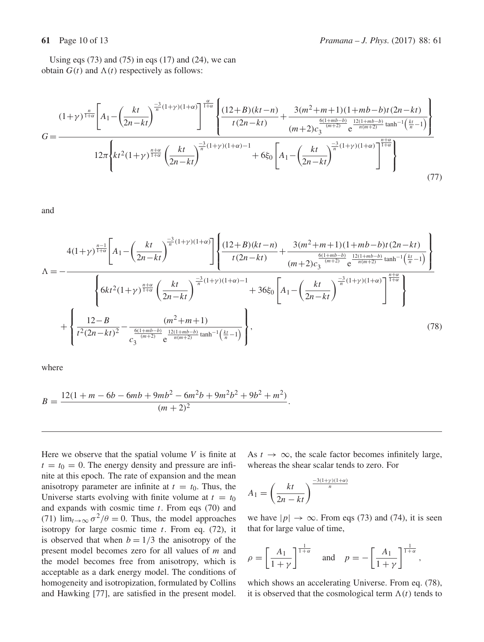Using eqs  $(73)$  and  $(75)$  in eqs  $(17)$  and  $(24)$ , we can obtain  $G(t)$  and  $\Lambda(t)$  respectively as follows:

$$
G = \frac{(1+\gamma)^{\frac{n}{1+\alpha}}\left[A_1 - \left(\frac{kt}{2n-kt}\right)^{\frac{-3}{n}(1+\gamma)(1+\alpha)}\right]^{\frac{\alpha}{1+\alpha}}\left\{\frac{(12+B)(kt-n)}{t(2n-kt)} + \frac{3(m^2+m+1)(1+mb-b)t(2n-kt)}{(m+2)c_3^{\frac{6(1+mb-b)}{(m+2)}}e^{\frac{12(1+mb-b)}{n(m+2)}}\tanh^{-1}\left(\frac{kt}{n-1}\right)}{12\pi\left\{kt^2(1+\gamma)^{\frac{n+\alpha}{1+\alpha}}\left(\frac{kt}{2n-kt}\right)^{\frac{-3}{n}(1+\gamma)(1+\alpha)-1} + 6\xi_0\left[A_1 - \left(\frac{kt}{2n-kt}\right)^{\frac{-3}{n}(1+\gamma)(1+\alpha)}\right]^{\frac{n+\alpha}{1+\alpha}}\right\}\right\}\n\tag{77}
$$

and

$$
\Lambda = -\frac{4(1+\gamma)^{\frac{n-1}{1+\alpha}}\left[A_1 - \left(\frac{kt}{2n-kt}\right)^{\frac{-3}{n}(1+\gamma)(1+\alpha)}\right]\left\{\frac{(12+B)(kt-n)}{t(2n-kt)} + \frac{3(m^2+m+1)(1+mb-b)t(2n-kt)}{(m+2)c_3^{\frac{6(1+mb-b)}{m+2}}\frac{12(1+mb-b)}{e^{-n(m+2)}}\tanh^{-1}\left(\frac{kt}{n-1}\right)}\right\}}{(m+2)c_3^{\frac{6(1+mb-b)}{m+2}}\frac{12(1+mb-b)}{e^{-n(m+2)}}\tanh^{-1}\left(\frac{kt}{n-1}\right)}\right]} + \left\{\frac{6kt^2(1+\gamma)^{\frac{n+\alpha}{1+\alpha}}\left(\frac{kt}{2n-kt}\right)^{\frac{-3}{n}(1+\gamma)(1+\alpha)-1} + 36\xi_0\left[A_1 - \left(\frac{kt}{2n-kt}\right)^{\frac{-3}{n}(1+\gamma)(1+\alpha)}\right]^{\frac{n+\alpha}{1+\alpha}}\right\}}{t^2(2n-kt)^2 - \frac{(m^2+m+1)}{c_3^{\frac{(n+mb-b)}{m(n+2)}}\tanh^{-1}\left(\frac{kt}{n}-1\right)}}\right\},\tag{78}
$$

where

$$
B = \frac{12(1+m-6b-6mb+9mb^2-6m^2b+9m^2b^2+9b^2+m^2)}{(m+2)^2}.
$$

Here we observe that the spatial volume  $V$  is finite at  $t = t_0 = 0$ . The energy density and pressure are infinite at this epoch. The rate of expansion and the mean anisotropy parameter are infinite at  $t = t_0$ . Thus, the Universe starts evolving with finite volume at  $t = t_0$ and expands with cosmic time  $t$ . From eqs (70) and (71)  $\lim_{t\to\infty} \sigma^2/\theta = 0$ . Thus, the model approaches isotropy for large cosmic time  $t$ . From eq. (72), it is observed that when  $b = 1/3$  the anisotropy of the present model becomes zero for all values of m and the model becomes free from anisotropy, which is acceptable as a dark energy model. The conditions of homogeneity and isotropization, formulated by Collins and Hawking [77], are satisfied in the present model.

As  $t \to \infty$ , the scale factor becomes infinitely large, whereas the shear scalar tends to zero. For

$$
A_1 = \left(\frac{kt}{2n - kt}\right)^{\frac{-3(1+\gamma)(1+\alpha)}{n}}
$$

we have  $|p| \rightarrow \infty$ . From eqs (73) and (74), it is seen that for large value of time,

$$
\rho = \left[\frac{A_1}{1+\gamma}\right]^{\frac{1}{1+\alpha}} \quad \text{and} \quad p = -\left[\frac{A_1}{1+\gamma}\right]^{\frac{1}{1+\alpha}},
$$

which shows an accelerating Universe. From eq. (78), it is observed that the cosmological term  $\Lambda(t)$  tends to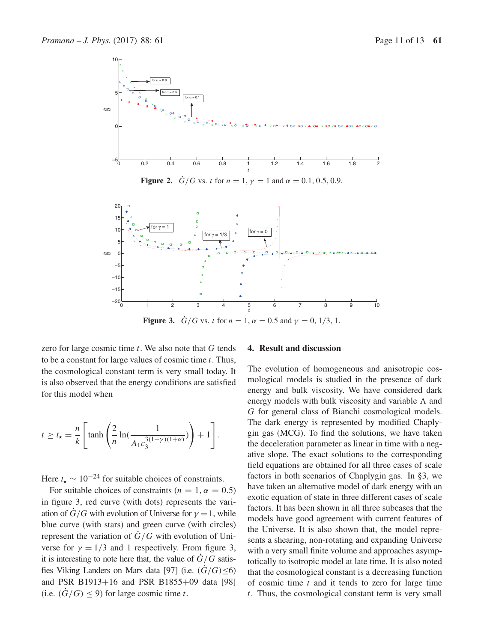





zero for large cosmic time  $t$ . We also note that  $G$  tends to be a constant for large values of cosmic time  $t$ . Thus, the cosmological constant term is very small today. It is also observed that the energy conditions are satisfied for this model when

$$
t \ge t_{\star} = \frac{n}{k} \left[ \tanh \left( \frac{2}{n} \ln \left( \frac{1}{A_1 c_3^{3(1+\gamma)(1+\alpha)}} \right) \right) + 1 \right].
$$

Here  $t_{\star} \sim 10^{-24}$  for suitable choices of constraints.

For suitable choices of constraints ( $n = 1$ ,  $\alpha = 0.5$ ) in figure 3, red curve (with dots) represents the variation of  $\dot{G}/G$  with evolution of Universe for  $\gamma = 1$ , while blue curve (with stars) and green curve (with circles) represent the variation of  $\dot{G}/G$  with evolution of Universe for  $\gamma = 1/3$  and 1 respectively. From figure 3, it is interesting to note here that, the value of  $\dot{G}/G$  satisfies Viking Landers on Mars data [97] (i.e.  $(G/G) \le 6$ ) and PSR B1913+16 and PSR B1855+09 data [98] (i.e.  $(\dot{G}/G) \leq 9$ ) for large cosmic time t.

### **4. Result and discussion**

The evolution of homogeneous and anisotropic cosmological models is studied in the presence of dark energy and bulk viscosity. We have considered dark energy models with bulk viscosity and variable  $\Lambda$  and  $G$  for general class of Bianchi cosmological models G for general class of Bianchi cosmological models. The dark energy is represented by modified Chaplygin gas (MCG). To find the solutions, we have taken the deceleration parameter as linear in time with a negative slope. The exact solutions to the corresponding field equations are obtained for all three cases of scale factors in both scenarios of Chaplygin gas. In §3, we have taken an alternative model of dark energy with an exotic equation of state in three different cases of scale factors. It has been shown in all three subcases that the models have good agreement with current features of the Universe. It is also shown that, the model represents a shearing, non-rotating and expanding Universe with a very small finite volume and approaches asymptotically to isotropic model at late time. It is also noted that the cosmological constant is a decreasing function of cosmic time  $t$  and it tends to zero for large time t. Thus, the cosmological constant term is very small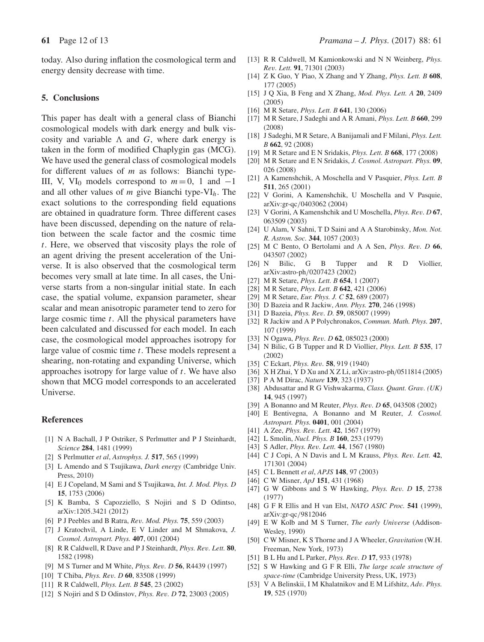today. Also during inflation the cosmological term and energy density decrease with time.

# **5. Conclusions**

This paper has dealt with a general class of Bianchi cosmological models with dark energy and bulk viscosity and variable  $\Lambda$  and  $G$ , where dark energy is<br>taken in the form of modified Chaplygin gas (MCG) taken in the form of modified Chaplygin gas (MCG). We have used the general class of cosmological models for different values of m as follows: Bianchi type-III, V, VI<sub>0</sub> models correspond to  $m = 0$ , 1 and  $-1$ and all other values of m give Bianchi type-VI<sub>h</sub>. The exact solutions to the corresponding field equations are obtained in quadrature form. Three different cases have been discussed, depending on the nature of relation between the scale factor and the cosmic time t. Here, we observed that viscosity plays the role of an agent driving the present acceleration of the Universe. It is also observed that the cosmological term becomes very small at late time. In all cases, the Universe starts from a non-singular initial state. In each case, the spatial volume, expansion parameter, shear scalar and mean anisotropic parameter tend to zero for large cosmic time  $t$ . All the physical parameters have been calculated and discussed for each model. In each case, the cosmological model approaches isotropy for large value of cosmic time t. These models represent a shearing, non-rotating and expanding Universe, which approaches isotropy for large value of  $t$ . We have also shown that MCG model corresponds to an accelerated Universe.

## **References**

- [1] N A Bachall, J P Ostriker, S Perlmutter and P J Steinhardt, *Science* **284**, 1481 (1999)
- [2] S Perlmutter *et al*, *Astrophys. J.* **517**, 565 (1999)
- [3] L Amendo and S Tsujikawa, *Dark energy* (Cambridge Univ. Press, 2010)
- [4] E J Copeland, M Sami and S Tsujikawa, *Int. J. Mod. Phys. D* **15**, 1753 (2006)
- [5] K Bamba, S Capozziello, S Nojiri and S D Odintso, arXiv:1205.3421 (2012)
- [6] P J Peebles and B Ratra, *Re*v*. Mod. Phys.* **<sup>75</sup>**, 559 (2003)
- [7] J Kratochvil, A Linde, E V Linder and M Shmakova, *J. Cosmol. Astropart. Phys.* **407**, 001 (2004)
- [8] R R Caldwell, R Dave and P J Steinhardt, *Phys. Re*v*. Lett.* **<sup>80</sup>**, 1582 (1998)
- [9] M S Turner and M White, *Phys. Re*v*. D* **<sup>56</sup>**, R4439 (1997)
- [10] T Chiba, *Phys. Re*v*. D* **<sup>60</sup>**, 83508 (1999)
- [11] R R Caldwell, *Phys. Lett. B* **545**, 23 (2002)
- [12] S Nojiri and S D Odinstov, *Phys. Re*v*. D* **<sup>72</sup>**, 23003 (2005)
- [13] R R Caldwell, M Kamionkowski and N N Weinberg, *Phys. Re*v*. Lett.* **<sup>91</sup>**, 71301 (2003)
- [14] Z K Guo, Y Piao, X Zhang and Y Zhang, *Phys. Lett. B* **608**, 177 (2005)
- [15] J Q Xia, B Feng and X Zhang, *Mod. Phys. Lett. A* **20**, 2409 (2005)
- [16] M R Setare, *Phys. Lett. B* **641**, 130 (2006)
- [17] M R Setare, J Sadeghi and A R Amani, *Phys. Lett. B* **660**, 299 (2008)
- [18] J Sadeghi, M R Setare, A Banijamali and F Milani, *Phys. Lett. B* **662**, 92 (2008)
- [19] M R Setare and E N Sridakis, *Phys. Lett. B* **668**, 177 (2008)
- [20] M R Setare and E N Sridakis, *J. Cosmol. Astropart. Phys.* **09**, 026 (2008)
- [21] A Kamenshchik, A Moschella and V Pasquier, *Phys. Lett. B* **511**, 265 (2001)
- [22] V Gorini, A Kamenshchik, U Moschella and V Pasquie, arXiv:gr-qc/0403062 (2004)
- [23] V Gorini, A Kamenshchik and U Moschella, *Phys. Re*v*. D* **<sup>67</sup>**, 063509 (2003)
- [24] U Alam, V Sahni, T D Saini and A A Starobinsky, *Mon. Not. R. Astron. Soc.* **344**, 1057 (2003)
- [25] M C Bento, O Bertolami and A A Sen, *Phys. Re*v*. D* **<sup>66</sup>**, 043507 (2002)
- [26] N Bilic, G B Tupper and R D Viollier, arXiv:astro-ph/0207423 (2002)
- [27] M R Setare, *Phys. Lett. B* **654**, 1 (2007)
- [28] M R Setare, *Phys. Lett. B* **642**, 421 (2006)
- [29] M R Setare, *Eur. Phys. J. C* **52**, 689 (2007)
- [30] D Bazeia and R Jackiw, *Ann. Phys.* **270**, 246 (1998)
- [31] D Bazeia, *Phys. Re*v*. D.* **<sup>59</sup>**, 085007 (1999)
- [32] R Jackiw and A P Polychronakos, *Commun. Math. Phys.* **207**, 107 (1999)
- [33] N Ogawa, *Phys. Re*v*. D* **<sup>62</sup>**, 085023 (2000)
- [34] N Bilic, G B Tupper and R D Viollier, *Phys. Lett. B* **535**, 17 (2002)
- [35] C Eckart, *Phys. Re*v*.* **<sup>58</sup>**, 919 (1940)
- [36] X H Zhai, Y D Xu and X Z Li, arXiv:astro-ph/0511814 (2005)
- [37] P A M Dirac, *Nature* **139**, 323 (1937)
- [38] Abdusattar and R G Vishwakarma, *Class. Quant. Gra*v*. (UK)* **14**, 945 (1997)
- [39] A Bonanno and M Reuter, *Phys. Re*v*. D* **<sup>65</sup>**, 043508 (2002)
- [40] E Bentivegna, A Bonanno and M Reuter, *J. Cosmol. Astropart. Phys.* **0401**, 001 (2004)
- [41] A Zee, *Phys. Re*v*. Lett.* **<sup>42</sup>**, 1567 (1979)
- [42] L Smolin, *Nucl. Phys. B* **160**, 253 (1979)
- [43] S Adler, *Phys. Re*v*. Lett.* **<sup>44</sup>**, 1567 (1980)
- [44] C J Copi, A N Davis and L M Krauss, *Phys. Re*v*. Lett.* **<sup>42</sup>**, 171301 (2004)
- [45] C L Bennett *et al*, *APJS* **148**, 97 (2003)
- [46] C W Misner, *ApJ* **151**, 431 (1968)
- [47] G W Gibbons and S W Hawking, *Phys. Re*v*. D* **<sup>15</sup>**, 2738 (1977)
- [48] G F R Ellis and H van Elst, *NATO ASIC Proc.* **541** (1999), arXiv:gr-qc/<sup>9812046</sup>
- [49] E W Kolb and M S Turner, *The early Uni*v*erse* (Addison-Wesley, 1990)
- [50] C W Misner, K S Thorne and J A Wheeler, *Gra*v*itation* (W.H. Freeman, New York, 1973)
- [51] B L Hu and L Parker, *Phys. Re*v*. D* **<sup>17</sup>**, 933 (1978)
- [52] S W Hawking and G F R Elli, *The large scale structure of space-time* (Cambridge University Press, UK, 1973)
- [53] V A Belinskii, I M Khalatnikov and E M Lifshitz, *Ad*v*. Phys.* **19**, 525 (1970)